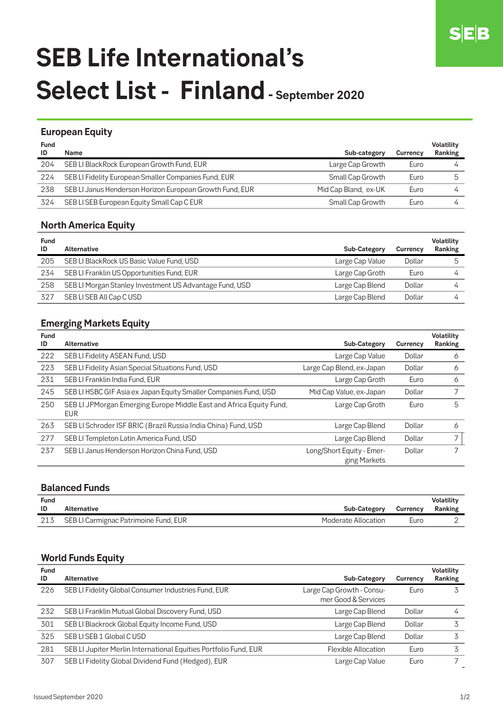# **SEB Life International's** Select List - Finland - September 2020

#### **European Equity**

| <b>Fund</b><br>ID | Name                                                     | Sub-category         | <b>Currency</b> | <b>Volatility</b><br>Ranking |
|-------------------|----------------------------------------------------------|----------------------|-----------------|------------------------------|
| 204               | SEB LI BlackRock European Growth Fund, EUR               | Large Cap Growth     | Euro            |                              |
| 224               | SEB LI Fidelity European Smaller Companies Fund, EUR     | Small Cap Growth     | Euro            |                              |
| 238               | SEB LI Janus Henderson Horizon European Growth Fund, EUR | Mid Cap Bland, ex-UK | Euro            |                              |
| 324               | SEB LI SEB European Equity Small Cap C EUR               | Small Cap Growth     | Euro            |                              |

### **North America Equity**

| <b>Fund</b><br>ID | Alternative                                             | <b>Sub-Category</b> | Currency | <b>Volatility</b><br>Ranking |
|-------------------|---------------------------------------------------------|---------------------|----------|------------------------------|
| 205               | SEB LI BlackRock US Basic Value Fund, USD               | Large Cap Value     | Dollar   |                              |
| 234               | SEB LI Franklin US Opportunities Fund, EUR              | Large Cap Groth     | Euro     |                              |
| 258               | SEB LI Morgan Stanley Investment US Advantage Fund, USD | Large Cap Blend     | Dollar   |                              |
| 327               | SEB LISEB All Cap C USD                                 | Large Cap Blend     | Dollar   |                              |

# **Emerging Markets Equity**

| <b>Fund</b><br>ID | <b>Alternative</b>                                                                | <b>Sub-Category</b>                       | Currency | <b>Volatility</b><br>Ranking |
|-------------------|-----------------------------------------------------------------------------------|-------------------------------------------|----------|------------------------------|
| 222               | SEB LI Fidelity ASEAN Fund, USD                                                   | Large Cap Value                           | Dollar   | 6                            |
| 223               | SEB LI Fidelity Asian Special Situations Fund, USD                                | Large Cap Blend, ex-Japan                 | Dollar   | 6                            |
| 231               | SEB LI Franklin India Fund, EUR                                                   | Large Cap Groth                           | Euro     | 6                            |
| 245               | SEB LI HSBC GIF Asia ex Japan Equity Smaller Companies Fund, USD                  | Mid Cap Value, ex-Japan                   | Dollar   |                              |
| 250               | SEB LI JPMorgan Emerging Europe Middle East and Africa Equity Fund,<br><b>EUR</b> | Large Cap Groth                           | Euro     | 5                            |
| 263               | SEB LI Schroder ISF BRIC (Brazil Russia India China) Fund, USD                    | Large Cap Blend                           | Dollar   | 6                            |
| 277               | SEB LI Templeton Latin America Fund, USD                                          | Large Cap Blend                           | Dollar   | $\overline{ }$               |
| 237               | SEB LI Janus Henderson Horizon China Fund, USD                                    | Long/Short Equity - Emer-<br>ging Markets | Dollar   |                              |

### **Balanced Funds**

| <b>Fund</b><br>ID | Alternative                           | <b>Sub-Category</b> | Currency | Volatility<br>Ranking |
|-------------------|---------------------------------------|---------------------|----------|-----------------------|
| 213               | SEB LI Carmignac Patrimoine Fund, EUR | Moderate Allocation | Euro     |                       |

## **World Funds Equity**

| <b>Fund</b><br>ID | Alternative                                                      | <b>Sub-Category</b>                              | Currency | <b>Volatility</b><br>Ranking |
|-------------------|------------------------------------------------------------------|--------------------------------------------------|----------|------------------------------|
| 226               | SEB LI Fidelity Global Consumer Industries Fund, EUR             | Large Cap Growth - Consu-<br>mer Good & Services | Euro     |                              |
| 232               | SEB LI Franklin Mutual Global Discovery Fund, USD                | Large Cap Blend                                  | Dollar   |                              |
| 301               | SEB LI Blackrock Global Equity Income Fund, USD                  | Large Cap Blend                                  | Dollar   |                              |
| 325               | SEB LISEB 1 Global CUSD                                          | Large Cap Blend                                  | Dollar   |                              |
| 281               | SEB LI Jupiter Merlin International Equities Portfolio Fund, EUR | <b>Flexible Allocation</b>                       | Euro     |                              |
| 307               | SEB LI Fidelity Global Dividend Fund (Hedged), EUR               | Large Cap Value                                  | Euro     |                              |